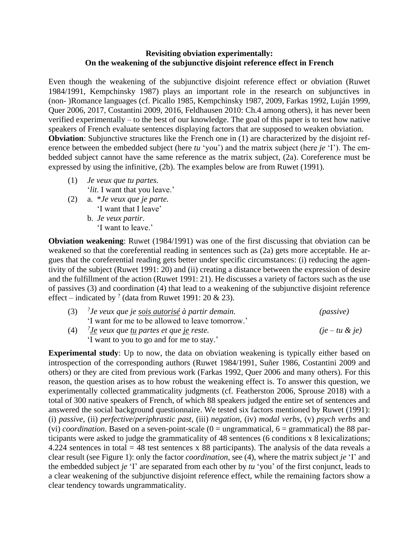## **Revisiting obviation experimentally: On the weakening of the subjunctive disjoint reference effect in French**

Even though the weakening of the subjunctive disjoint reference effect or obviation (Ruwet 1984/1991, Kempchinsky 1987) plays an important role in the research on subjunctives in (non- )Romance languages (cf. Picallo 1985, Kempchinsky 1987, 2009, Farkas 1992, Luján 1999, Quer 2006, 2017, Costantini 2009, 2016, Feldhausen 2010: Ch.4 among others), it has never been verified experimentally – to the best of our knowledge. The goal of this paper is to test how native speakers of French evaluate sentences displaying factors that are supposed to weaken obviation. **Obviation**: Subjunctive structures like the French one in (1) are characterized by the disjoint reference between the embedded subject (here *tu* 'you') and the matrix subject (here *je* 'I'). The embedded subject cannot have the same reference as the matrix subject, (2a). Coreference must be expressed by using the infinitive, (2b). The examples below are from Ruwet (1991).

- (1) *Je veux que tu partes.* '*lit*. I want that you leave.'
- (2) a. \**Je veux que je parte.* 'I want that I leave' b. *Je veux partir*. 'I want to leave.'

**Obviation weakening**: Ruwet (1984/1991) was one of the first discussing that obviation can be weakened so that the coreferential reading in sentences such as (2a) gets more acceptable. He argues that the coreferential reading gets better under specific circumstances: (i) reducing the agentivity of the subject (Ruwet 1991: 20) and (ii) creating a distance between the expression of desire and the fulfillment of the action (Ruwet 1991: 21). He discusses a variety of factors such as the use of passives (3) and coordination (4) that lead to a weakening of the subjunctive disjoint reference effect – indicated by <sup>?</sup> (data from Ruwet 1991: 20 & 23).

| (3) | <sup>2</sup> Je veux que je <u>sois autorisé</u> à partir demain. | ( <i>passive</i> ) |
|-----|-------------------------------------------------------------------|--------------------|
|     | 'I want for me to be allowed to leave tomorrow.'                  |                    |
| (4) | $\mathscr{C}$ Je veux que tu partes et que je reste.              | $(je-tu \& je)$    |
|     | 'I want to you to go and for me to stay.'                         |                    |

**Experimental study**: Up to now, the data on obviation weakening is typically either based on introspection of the corresponding authors (Ruwet 1984/1991, Suñer 1986, Costantini 2009 and others) or they are cited from previous work (Farkas 1992, Quer 2006 and many others). For this reason, the question arises as to how robust the weakening effect is. To answer this question, we experimentally collected grammaticality judgments (cf. Featherston 2006, Sprouse 2018) with a total of 300 native speakers of French, of which 88 speakers judged the entire set of sentences and answered the social background questionnaire. We tested six factors mentioned by Ruwet (1991): (i) *passive*, (ii) *perfective*/*periphrastic past*, (iii) *negation*, (iv) *modal verbs*, (v) *psych verbs* and (vi) *coordination*. Based on a seven-point-scale ( $0 =$  ungrammatical,  $6 =$  grammatical) the 88 participants were asked to judge the grammaticality of 48 sentences (6 conditions x 8 lexicalizations; 4.224 sentences in total  $= 48$  test sentences x 88 participants). The analysis of the data reveals a clear result (see Figure 1): only the factor *coordination*, see (4), where the matrix subject *je* 'I' and the embedded subject *je* 'I' are separated from each other by *tu* 'you' of the first conjunct, leads to a clear weakening of the subjunctive disjoint reference effect, while the remaining factors show a clear tendency towards ungrammaticality.